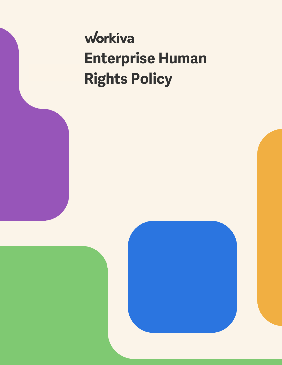# workiva **Enterprise Human Rights Policy**

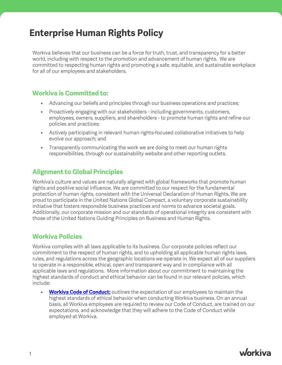# **Enterprise Human Rights Policy**

Workiva believes that our business can be a force for truth, trust, and transparency for a better world, including with respect to the promotion and advancement of human rights. We are committed to respecting human rights and promoting a safe, equitable, and sustainable workplace for all of our employees and stakeholders.

#### **Workiva is Committed to:**

- Advancing our beliefs and principles through our business operations and practices;
- Proactively engaging with our stakeholders including governments, customers, employees, owners, suppliers, and shareholders - to promote human rights and refine our policies and practices;
- Actively participating in relevant human rights-focused collaborative initiatives to help evolve our approach; and
- Transparently communicating the work we are doing to meet our human rights responsibilities, through our sustainability website and other reporting outlets.

### **Alignment to Global Principles**

Workiva's culture and values are naturally aligned with global frameworks that promote human rights and positive social influence. We are committed to our respect for the fundamental protection of human rights, consistent with the Universal Declaration of Human Rights. We are proud to participate in the United Nations Global Compact, a voluntary corporate sustainability initiative that fosters responsible business practices and norms to advance societal goals. Additionally, our corporate mission and our standards of operational integrity are consistent with those of the United Nations Guiding Principles on Business and Human Rights.

## **Workiva Policies**

Workiva complies with all laws applicable to its business. Our corporate policies reflect our commitment to the respect of human rights, and to upholding all applicable human rights laws, rules, and regulations across the geographic locations we operate in. We expect all of our suppliers to operate in a responsible, ethical, open and transparent way and in compliance with all applicable laws and regulations. More information about our commitment to maintaining the highest standards of conduct and ethical behavior can be found in our relevant policies, which include:

**[Workiva Code of Conduct:](https://www.workiva.com/sites/workiva/files/pdfs/legal/wlife-code-of-conduct-nov2021-en.pdf)** outlines the expectation of our employees to maintain the highest standards of ethical behavior when conducting Workiva business. On an annual basis, all Workiva employees are required to review our Code of Conduct, are trained on our expectations, and acknowledge that they will adhere to the Code of Conduct while employed at Workiva.